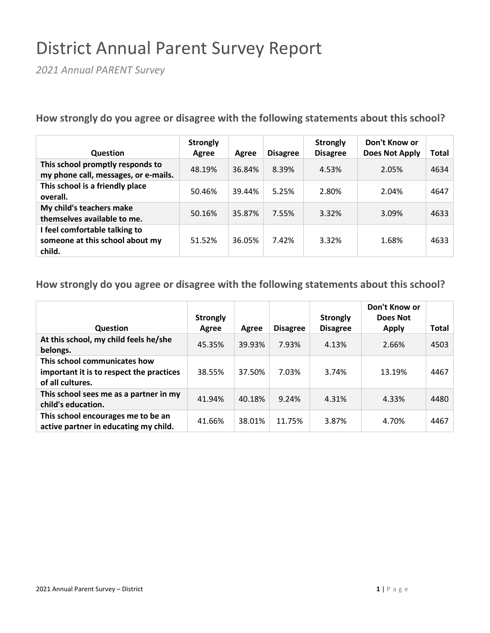## District Annual Parent Survey Report

*2021 Annual PARENT Survey*

**How strongly do you agree or disagree with the following statements about this school?**

| <b>Question</b>                                                            | <b>Strongly</b><br>Agree | Agree  | <b>Disagree</b> | <b>Strongly</b><br><b>Disagree</b> | Don't Know or<br><b>Does Not Apply</b> | Total |
|----------------------------------------------------------------------------|--------------------------|--------|-----------------|------------------------------------|----------------------------------------|-------|
| This school promptly responds to<br>my phone call, messages, or e-mails.   | 48.19%                   | 36.84% | 8.39%           | 4.53%                              | 2.05%                                  | 4634  |
| This school is a friendly place<br>overall.                                | 50.46%                   | 39.44% | 5.25%           | 2.80%                              | 2.04%                                  | 4647  |
| My child's teachers make<br>themselves available to me.                    | 50.16%                   | 35.87% | 7.55%           | 3.32%                              | 3.09%                                  | 4633  |
| I feel comfortable talking to<br>someone at this school about my<br>child. | 51.52%                   | 36.05% | 7.42%           | 3.32%                              | 1.68%                                  | 4633  |

**How strongly do you agree or disagree with the following statements about this school?**

|                                                                                              | <b>Strongly</b> |        |                 | <b>Strongly</b> | Don't Know or<br>Does Not |       |
|----------------------------------------------------------------------------------------------|-----------------|--------|-----------------|-----------------|---------------------------|-------|
| <b>Question</b>                                                                              | Agree           | Agree  | <b>Disagree</b> | <b>Disagree</b> | <b>Apply</b>              | Total |
| At this school, my child feels he/she<br>belongs.                                            | 45.35%          | 39.93% | 7.93%           | 4.13%           | 2.66%                     | 4503  |
| This school communicates how<br>important it is to respect the practices<br>of all cultures. | 38.55%          | 37.50% | 7.03%           | 3.74%           | 13.19%                    | 4467  |
| This school sees me as a partner in my<br>child's education.                                 | 41.94%          | 40.18% | 9.24%           | 4.31%           | 4.33%                     | 4480  |
| This school encourages me to be an<br>active partner in educating my child.                  | 41.66%          | 38.01% | 11.75%          | 3.87%           | 4.70%                     | 4467  |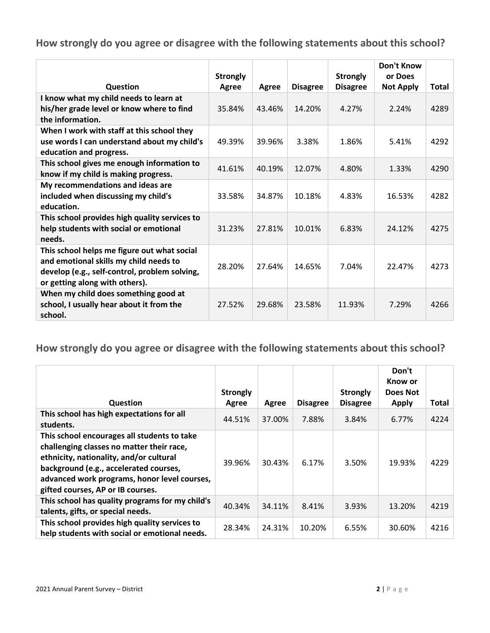**How strongly do you agree or disagree with the following statements about this school?**

|                                                                                                                                                                          | <b>Strongly</b> |        |                 | <b>Strongly</b> | Don't Know<br>or Does |              |
|--------------------------------------------------------------------------------------------------------------------------------------------------------------------------|-----------------|--------|-----------------|-----------------|-----------------------|--------------|
| Question                                                                                                                                                                 | Agree           | Agree  | <b>Disagree</b> | <b>Disagree</b> | <b>Not Apply</b>      | <b>Total</b> |
| I know what my child needs to learn at<br>his/her grade level or know where to find<br>the information.                                                                  | 35.84%          | 43.46% | 14.20%          | 4.27%           | 2.24%                 | 4289         |
| When I work with staff at this school they<br>use words I can understand about my child's<br>education and progress.                                                     | 49.39%          | 39.96% | 3.38%           | 1.86%           | 5.41%                 | 4292         |
| This school gives me enough information to<br>know if my child is making progress.                                                                                       | 41.61%          | 40.19% | 12.07%          | 4.80%           | 1.33%                 | 4290         |
| My recommendations and ideas are<br>included when discussing my child's<br>education.                                                                                    | 33.58%          | 34.87% | 10.18%          | 4.83%           | 16.53%                | 4282         |
| This school provides high quality services to<br>help students with social or emotional<br>needs.                                                                        | 31.23%          | 27.81% | 10.01%          | 6.83%           | 24.12%                | 4275         |
| This school helps me figure out what social<br>and emotional skills my child needs to<br>develop (e.g., self-control, problem solving,<br>or getting along with others). | 28.20%          | 27.64% | 14.65%          | 7.04%           | 22.47%                | 4273         |
| When my child does something good at<br>school, I usually hear about it from the<br>school.                                                                              | 27.52%          | 29.68% | 23.58%          | 11.93%          | 7.29%                 | 4266         |

**How strongly do you agree or disagree with the following statements about this school?**

|                                                                                                                                                                                                                                                                    | <b>Strongly</b> |        |                 | <b>Strongly</b> | Don't<br>Know or<br>Does Not |       |
|--------------------------------------------------------------------------------------------------------------------------------------------------------------------------------------------------------------------------------------------------------------------|-----------------|--------|-----------------|-----------------|------------------------------|-------|
| <b>Question</b>                                                                                                                                                                                                                                                    | Agree           | Agree  | <b>Disagree</b> | <b>Disagree</b> | Apply                        | Total |
| This school has high expectations for all<br>students.                                                                                                                                                                                                             | 44.51%          | 37.00% | 7.88%           | 3.84%           | 6.77%                        | 4224  |
| This school encourages all students to take<br>challenging classes no matter their race,<br>ethnicity, nationality, and/or cultural<br>background (e.g., accelerated courses,<br>advanced work programs, honor level courses,<br>gifted courses, AP or IB courses. | 39.96%          | 30.43% | 6.17%           | 3.50%           | 19.93%                       | 4229  |
| This school has quality programs for my child's<br>talents, gifts, or special needs.                                                                                                                                                                               | 40.34%          | 34.11% | 8.41%           | 3.93%           | 13.20%                       | 4219  |
| This school provides high quality services to<br>help students with social or emotional needs.                                                                                                                                                                     | 28.34%          | 24.31% | 10.20%          | 6.55%           | 30.60%                       | 4216  |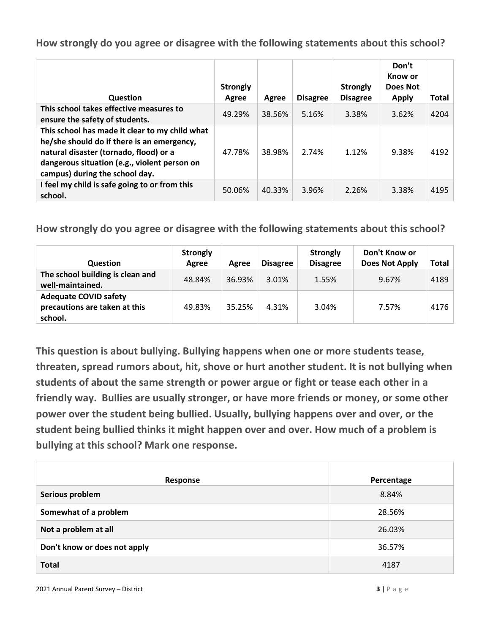**How strongly do you agree or disagree with the following statements about this school?**

| Question                                                                                                                                                                                                                 | <b>Strongly</b><br>Agree | Agree  | <b>Disagree</b> | <b>Strongly</b><br><b>Disagree</b> | Don't<br>Know or<br>Does Not<br><b>Apply</b> | Total |
|--------------------------------------------------------------------------------------------------------------------------------------------------------------------------------------------------------------------------|--------------------------|--------|-----------------|------------------------------------|----------------------------------------------|-------|
| This school takes effective measures to<br>ensure the safety of students.                                                                                                                                                | 49.29%                   | 38.56% | 5.16%           | 3.38%                              | 3.62%                                        | 4204  |
| This school has made it clear to my child what<br>he/she should do if there is an emergency,<br>natural disaster (tornado, flood) or a<br>dangerous situation (e.g., violent person on<br>campus) during the school day. | 47.78%                   | 38.98% | 2.74%           | 1.12%                              | 9.38%                                        | 4192  |
| I feel my child is safe going to or from this<br>school.                                                                                                                                                                 | 50.06%                   | 40.33% | 3.96%           | 2.26%                              | 3.38%                                        | 4195  |

**How strongly do you agree or disagree with the following statements about this school?**

| <b>Question</b>                                                          | <b>Strongly</b><br>Agree | Agree  | <b>Disagree</b> | <b>Strongly</b><br><b>Disagree</b> | Don't Know or<br><b>Does Not Apply</b> | <b>Total</b> |
|--------------------------------------------------------------------------|--------------------------|--------|-----------------|------------------------------------|----------------------------------------|--------------|
| The school building is clean and<br>well-maintained.                     | 48.84%                   | 36.93% | 3.01%           | 1.55%                              | 9.67%                                  | 4189         |
| <b>Adequate COVID safety</b><br>precautions are taken at this<br>school. | 49.83%                   | 35.25% | 4.31%           | 3.04%                              | 7.57%                                  | 4176         |

**This question is about bullying. Bullying happens when one or more students tease, threaten, spread rumors about, hit, shove or hurt another student. It is not bullying when students of about the same strength or power argue or fight or tease each other in a friendly way. Bullies are usually stronger, or have more friends or money, or some other power over the student being bullied. Usually, bullying happens over and over, or the student being bullied thinks it might happen over and over. How much of a problem is bullying at this school? Mark one response.**

| Response                     | Percentage |
|------------------------------|------------|
| Serious problem              | 8.84%      |
| Somewhat of a problem        | 28.56%     |
| Not a problem at all         | 26.03%     |
| Don't know or does not apply | 36.57%     |
| <b>Total</b>                 | 4187       |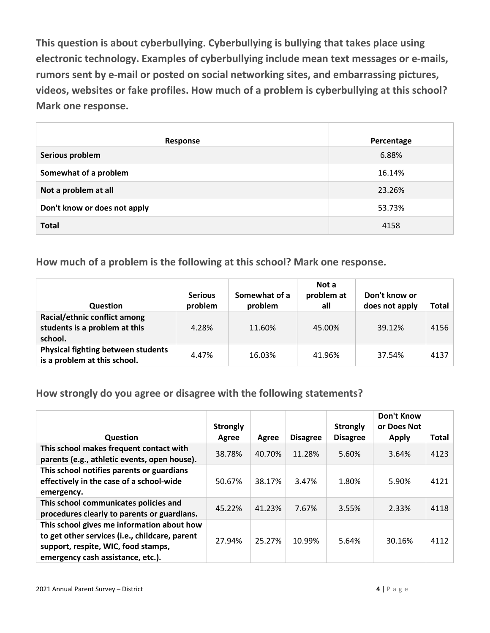**This question is about cyberbullying. Cyberbullying is bullying that takes place using electronic technology. Examples of cyberbullying include mean text messages or e-mails, rumors sent by e-mail or posted on social networking sites, and embarrassing pictures, videos, websites or fake profiles. How much of a problem is cyberbullying at this school? Mark one response.**

| Response                     | Percentage |
|------------------------------|------------|
| Serious problem              | 6.88%      |
| Somewhat of a problem        | 16.14%     |
| Not a problem at all         | 23.26%     |
| Don't know or does not apply | 53.73%     |
| <b>Total</b>                 | 4158       |

**How much of a problem is the following at this school? Mark one response.**

| <b>Question</b>                                                           | <b>Serious</b><br>problem | Somewhat of a<br>problem | Not a<br>problem at<br>all | Don't know or<br>does not apply | Total |
|---------------------------------------------------------------------------|---------------------------|--------------------------|----------------------------|---------------------------------|-------|
| Racial/ethnic conflict among<br>students is a problem at this<br>school.  | 4.28%                     | 11.60%                   | 45.00%                     | 39.12%                          | 4156  |
| <b>Physical fighting between students</b><br>is a problem at this school. | 4.47%                     | 16.03%                   | 41.96%                     | 37.54%                          | 4137  |

**How strongly do you agree or disagree with the following statements?**

|                                                                                                                                                                          | <b>Strongly</b> |        |                 | <b>Strongly</b> | <b>Don't Know</b><br>or Does Not |              |
|--------------------------------------------------------------------------------------------------------------------------------------------------------------------------|-----------------|--------|-----------------|-----------------|----------------------------------|--------------|
| <b>Question</b>                                                                                                                                                          | Agree           | Agree  | <b>Disagree</b> | <b>Disagree</b> | <b>Apply</b>                     | <b>Total</b> |
| This school makes frequent contact with<br>parents (e.g., athletic events, open house).                                                                                  | 38.78%          | 40.70% | 11.28%          | 5.60%           | 3.64%                            | 4123         |
| This school notifies parents or guardians<br>effectively in the case of a school-wide<br>emergency.                                                                      | 50.67%          | 38.17% | 3.47%           | 1.80%           | 5.90%                            | 4121         |
| This school communicates policies and<br>procedures clearly to parents or guardians.                                                                                     | 45.22%          | 41.23% | 7.67%           | 3.55%           | 2.33%                            | 4118         |
| This school gives me information about how<br>to get other services (i.e., childcare, parent<br>support, respite, WIC, food stamps,<br>emergency cash assistance, etc.). | 27.94%          | 25.27% | 10.99%          | 5.64%           | 30.16%                           | 4112         |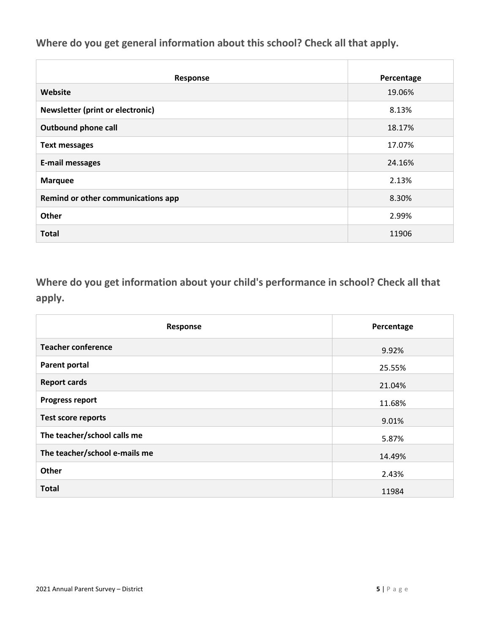**Where do you get general information about this school? Check all that apply.**

| Response                           | Percentage |
|------------------------------------|------------|
| Website                            | 19.06%     |
| Newsletter (print or electronic)   | 8.13%      |
| <b>Outbound phone call</b>         | 18.17%     |
| <b>Text messages</b>               | 17.07%     |
| <b>E-mail messages</b>             | 24.16%     |
| <b>Marquee</b>                     | 2.13%      |
| Remind or other communications app | 8.30%      |
| Other                              | 2.99%      |
| <b>Total</b>                       | 11906      |

**Where do you get information about your child's performance in school? Check all that apply.**

| Response                      | Percentage |
|-------------------------------|------------|
| <b>Teacher conference</b>     | 9.92%      |
| <b>Parent portal</b>          | 25.55%     |
| <b>Report cards</b>           | 21.04%     |
| <b>Progress report</b>        | 11.68%     |
| <b>Test score reports</b>     | 9.01%      |
| The teacher/school calls me   | 5.87%      |
| The teacher/school e-mails me | 14.49%     |
| Other                         | 2.43%      |
| <b>Total</b>                  | 11984      |